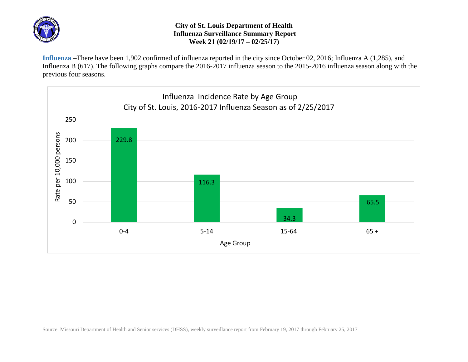

## **City of St. Louis Department of Health Influenza Surveillance Summary Report Week 21 (02/19/17 – 02/25/17)**

**Influenza** –There have been 1,902 confirmed of influenza reported in the city since October 02, 2016; Influenza A (1,285), and Influenza B (617). The following graphs compare the 2016-2017 influenza season to the 2015-2016 influenza season along with the previous four seasons.